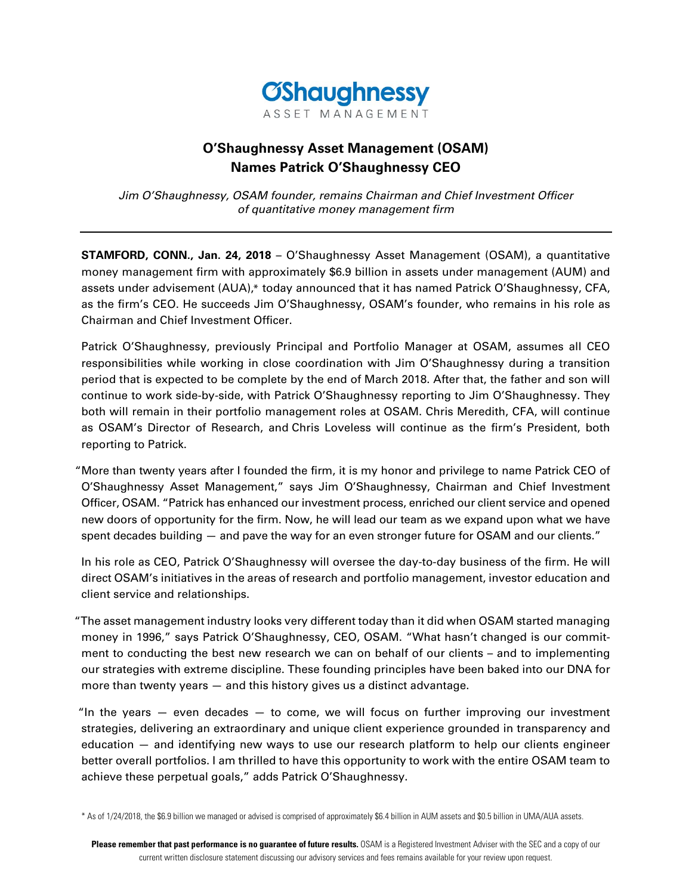

# **O'Shaughnessy Asset Management (OSAM) Names Patrick O'Shaughnessy CEO**

Jim O'Shaughnessy, OSAM founder, remains Chairman and Chief Investment Officer of quantitative money management firm

**STAMFORD, CONN., Jan. 24, 2018** – O'Shaughnessy Asset Management (OSAM), a quantitative money management firm with approximately \$6.9 billion in assets under management (AUM) and assets under advisement (AUA),\* today announced that it has named Patrick O'Shaughnessy, CFA, as the firm's CEO. He succeeds Jim O'Shaughnessy, OSAM's founder, who remains in his role as Chairman and Chief Investment Officer.

Patrick O'Shaughnessy, previously Principal and Portfolio Manager at OSAM, assumes all CEO responsibilities while working in close coordination with Jim O'Shaughnessy during a transition period that is expected to be complete by the end of March 2018. After that, the father and son will continue to work side-by-side, with Patrick O'Shaughnessy reporting to Jim O'Shaughnessy. They both will remain in their portfolio management roles at OSAM. Chris Meredith, CFA, will continue as OSAM's Director of Research, and Chris Loveless will continue as the firm's President, both reporting to Patrick.

 "More than twenty years after I founded the firm, it is my honor and privilege to name Patrick CEO of O'Shaughnessy Asset Management," says Jim O'Shaughnessy, Chairman and Chief Investment Officer, OSAM. "Patrick has enhanced our investment process, enriched our client service and opened new doors of opportunity for the firm. Now, he will lead our team as we expand upon what we have spent decades building — and pave the way for an even stronger future for OSAM and our clients."

In his role as CEO, Patrick O'Shaughnessy will oversee the day-to-day business of the firm. He will direct OSAM's initiatives in the areas of research and portfolio management, investor education and client service and relationships.

 "The asset management industry looks very different today than it did when OSAM started managing money in 1996," says Patrick O'Shaughnessy, CEO, OSAM. "What hasn't changed is our commitment to conducting the best new research we can on behalf of our clients – and to implementing our strategies with extreme discipline. These founding principles have been baked into our DNA for more than twenty years — and this history gives us a distinct advantage.

"In the years  $-$  even decades  $-$  to come, we will focus on further improving our investment strategies, delivering an extraordinary and unique client experience grounded in transparency and education — and identifying new ways to use our research platform to help our clients engineer better overall portfolios. I am thrilled to have this opportunity to work with the entire OSAM team to achieve these perpetual goals," adds Patrick O'Shaughnessy.

\* As of 1/24/2018, the \$6.9 billion we managed or advised is comprised of approximately \$6.4 billion in AUM assets and \$0.5 billion in UMA/AUA assets.

**Please remember that past performance is no guarantee of future results.** OSAM is a Registered Investment Adviser with the SEC and a copy of our current written disclosure statement discussing our advisory services and fees remains available for your review upon request.